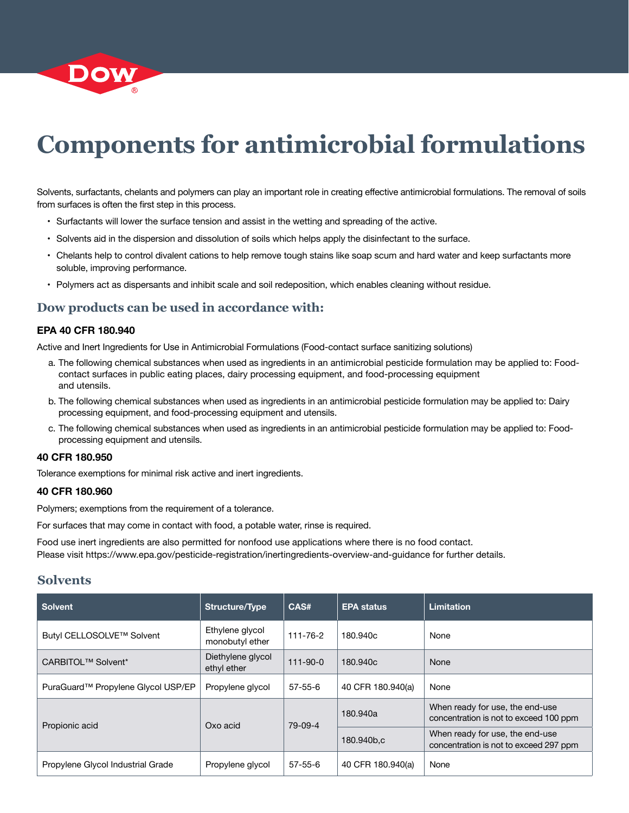

# **Components for antimicrobial formulations**

Solvents, surfactants, chelants and polymers can play an important role in creating effective antimicrobial formulations. The removal of soils from surfaces is often the first step in this process.

- Surfactants will lower the surface tension and assist in the wetting and spreading of the active.
- Solvents aid in the dispersion and dissolution of soils which helps apply the disinfectant to the surface.
- Chelants help to control divalent cations to help remove tough stains like soap scum and hard water and keep surfactants more soluble, improving performance.
- Polymers act as dispersants and inhibit scale and soil redeposition, which enables cleaning without residue.

#### **Dow products can be used in accordance with:**

#### **EPA 40 CFR 180.940**

Active and Inert Ingredients for Use in Antimicrobial Formulations (Food-contact surface sanitizing solutions)

- a. The following chemical substances when used as ingredients in an antimicrobial pesticide formulation may be applied to: Foodcontact surfaces in public eating places, dairy processing equipment, and food-processing equipment and utensils.
- b. The following chemical substances when used as ingredients in an antimicrobial pesticide formulation may be applied to: Dairy processing equipment, and food-processing equipment and utensils.
- c. The following chemical substances when used as ingredients in an antimicrobial pesticide formulation may be applied to: Foodprocessing equipment and utensils.

#### **40 CFR 180.950**

Tolerance exemptions for minimal risk active and inert ingredients.

#### **40 CFR 180.960**

Polymers; exemptions from the requirement of a tolerance.

For surfaces that may come in contact with food, a potable water, rinse is required.

Food use inert ingredients are also permitted for nonfood use applications where there is no food contact. Please visit https://www.epa.gov/pesticide-registration/inertingredients-overview-and-guidance for further details.

#### **Solvents**

| <b>Solvent</b>                                 | <b>Structure/Type</b>              | CAS#           | <b>EPA status</b> | <b>Limitation</b>                                                         |
|------------------------------------------------|------------------------------------|----------------|-------------------|---------------------------------------------------------------------------|
| Butyl CELLOSOLVE™ Solvent                      | Ethylene glycol<br>monobutyl ether | 111-76-2       | 180.940c          | None                                                                      |
| CARBITOL <sup>™</sup> Solvent <sup>*</sup>     | Diethylene glycol<br>ethyl ether   | $111 - 90 - 0$ | 180.940c          | None                                                                      |
| PuraGuard <sup>™</sup> Propylene Glycol USP/EP | Propylene glycol                   | $57 - 55 - 6$  | 40 CFR 180.940(a) | None                                                                      |
| Propionic acid                                 | Oxo acid                           | 79-09-4        | 180.940a          | When ready for use, the end-use<br>concentration is not to exceed 100 ppm |
|                                                |                                    |                | 180.940b,c        | When ready for use, the end-use<br>concentration is not to exceed 297 ppm |
| Propylene Glycol Industrial Grade              | Propylene glycol                   | $57 - 55 - 6$  | 40 CFR 180,940(a) | None                                                                      |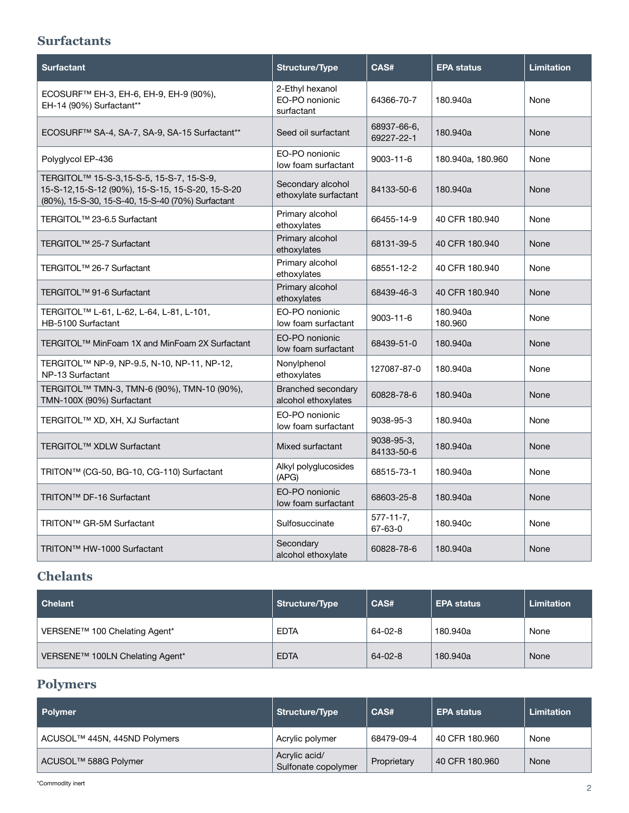## **Surfactants**

| <b>Surfactant</b>                                                                                                                                             | <b>Structure/Type</b>                           | CAS#                      | <b>EPA status</b>   | <b>Limitation</b> |
|---------------------------------------------------------------------------------------------------------------------------------------------------------------|-------------------------------------------------|---------------------------|---------------------|-------------------|
| ECOSURF <sup>™</sup> EH-3, EH-6, EH-9, EH-9 (90%),<br>EH-14 (90%) Surfactant**                                                                                | 2-Ethyl hexanol<br>EO-PO nonionic<br>surfactant | 64366-70-7                | 180.940a            | None              |
| ECOSURF <sup>™</sup> SA-4, SA-7, SA-9, SA-15 Surfactant <sup>**</sup>                                                                                         | Seed oil surfactant                             | 68937-66-6,<br>69227-22-1 | 180.940a            | None              |
| Polyglycol EP-436                                                                                                                                             | EO-PO nonionic<br>low foam surfactant           | 9003-11-6                 | 180.940a, 180.960   | None              |
| TERGITOL <sup>™</sup> 15-S-3,15-S-5, 15-S-7, 15-S-9,<br>15-S-12,15-S-12 (90%), 15-S-15, 15-S-20, 15-S-20<br>(80%), 15-S-30, 15-S-40, 15-S-40 (70%) Surfactant | Secondary alcohol<br>ethoxylate surfactant      | 84133-50-6                | 180.940a            | None              |
| TERGITOL <sup>™</sup> 23-6.5 Surfactant                                                                                                                       | Primary alcohol<br>ethoxylates                  | 66455-14-9                | 40 CFR 180.940      | None              |
| TERGITOL <sup>™</sup> 25-7 Surfactant                                                                                                                         | Primary alcohol<br>ethoxylates                  | 68131-39-5                | 40 CFR 180.940      | None              |
| TERGITOL <sup>™</sup> 26-7 Surfactant                                                                                                                         | Primary alcohol<br>ethoxylates                  | 68551-12-2                | 40 CFR 180.940      | None              |
| TERGITOL <sup>™</sup> 91-6 Surfactant                                                                                                                         | Primary alcohol<br>ethoxylates                  | 68439-46-3                | 40 CFR 180,940      | None              |
| TERGITOL <sup>™</sup> L-61, L-62, L-64, L-81, L-101,<br>HB-5100 Surfactant                                                                                    | EO-PO nonionic<br>low foam surfactant           | 9003-11-6                 | 180.940a<br>180.960 | None              |
| TERGITOL <sup>™</sup> MinFoam 1X and MinFoam 2X Surfactant                                                                                                    | EO-PO nonionic<br>low foam surfactant           | 68439-51-0                | 180.940a            | None              |
| TERGITOL™ NP-9, NP-9.5, N-10, NP-11, NP-12,<br>NP-13 Surfactant                                                                                               | Nonylphenol<br>ethoxylates                      | 127087-87-0               | 180.940a            | None              |
| TERGITOL <sup>™</sup> TMN-3, TMN-6 (90%), TMN-10 (90%),<br>TMN-100X (90%) Surfactant                                                                          | Branched secondary<br>alcohol ethoxylates       | 60828-78-6                | 180.940a            | None              |
| TERGITOL™ XD, XH, XJ Surfactant                                                                                                                               | EO-PO nonionic<br>low foam surfactant           | 9038-95-3                 | 180.940a            | None              |
| TERGITOL <sup>™</sup> XDLW Surfactant                                                                                                                         | Mixed surfactant                                | 9038-95-3,<br>84133-50-6  | 180.940a            | None              |
| TRITON™ (CG-50, BG-10, CG-110) Surfactant                                                                                                                     | Alkyl polyglucosides<br>(APG)                   | 68515-73-1                | 180.940a            | None              |
| TRITON™ DF-16 Surfactant                                                                                                                                      | EO-PO nonionic<br>low foam surfactant           | 68603-25-8                | 180.940a            | None              |
| TRITON™ GR-5M Surfactant                                                                                                                                      | Sulfosuccinate                                  | $577 - 11 - 7$<br>67-63-0 | 180.940c            | None              |
| TRITON™ HW-1000 Surfactant                                                                                                                                    | Secondary<br>alcohol ethoxylate                 | 60828-78-6                | 180.940a            | None              |

# **Chelants**

| Chelant                                     | Structure/Type | CAS#          | <b>EPA status</b> | Limitation |
|---------------------------------------------|----------------|---------------|-------------------|------------|
| VERSENE™ 100 Chelating Agent*               | <b>EDTA</b>    | $64 - 02 - 8$ | 180.940a          | None       |
| VERSENE <sup>™</sup> 100LN Chelating Agent* | <b>EDTA</b>    | $64 - 02 - 8$ | 180.940a          | None       |

# **Polymers**

| <b>Polymer</b>                   | <b>Structure/Type</b>                | CAS#        | <b>EPA status</b> | <b>Limitation</b> |
|----------------------------------|--------------------------------------|-------------|-------------------|-------------------|
| ACUSOL™ 445N, 445ND Polymers     | Acrylic polymer                      | 68479-09-4  | 40 CFR 180.960    | None              |
| ACUSOL <sup>™</sup> 588G Polymer | Acrylic acid/<br>Sulfonate copolymer | Proprietary | 40 CFR 180,960    | None              |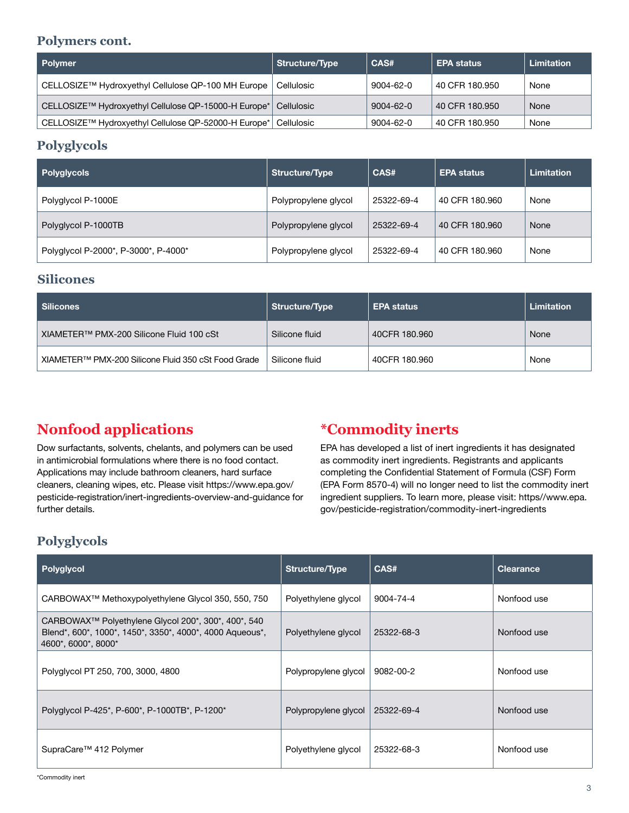### **Polymers cont.**

| Polymer                                              | Structure/Type | CAS#            | <b>EPA status</b> | <b>Limitation</b> |
|------------------------------------------------------|----------------|-----------------|-------------------|-------------------|
| CELLOSIZE™ Hydroxyethyl Cellulose QP-100 MH Europe   | Cellulosic     | 9004-62-0       | 40 CFR 180.950    | None              |
| CELLOSIZE™ Hydroxyethyl Cellulose QP-15000-H Europe* | Cellulosic     | $9004 - 62 - 0$ | 40 CFR 180.950    | None              |
| CELLOSIZE™ Hydroxyethyl Cellulose QP-52000-H Europe* | Cellulosic     | 9004-62-0       | 40 CFR 180.950    | None              |

## **Polyglycols**

| Polyglycols                          | <b>Structure/Type</b> | CAS#       | <b>EPA status</b> | Limitation |
|--------------------------------------|-----------------------|------------|-------------------|------------|
| Polyglycol P-1000E                   | Polypropylene glycol  | 25322-69-4 | 40 CFR 180.960    | None       |
| Polyglycol P-1000TB                  | Polypropylene glycol  | 25322-69-4 | 40 CFR 180.960    | None       |
| Polyglycol P-2000*, P-3000*, P-4000* | Polypropylene glycol  | 25322-69-4 | 40 CFR 180.960    | None       |

#### **Silicones**

| <b>Silicones</b>                                    | Structure/Type | <b>EPA status</b> | <b>Limitation</b> |
|-----------------------------------------------------|----------------|-------------------|-------------------|
| XIAMETER™ PMX-200 Silicone Fluid 100 cSt            | Silicone fluid | 40CFR 180.960     | None              |
| XIAMETER™ PMX-200 Silicone Fluid 350 cSt Food Grade | Silicone fluid | 40CFR 180.960     | None              |

# **Nonfood applications**

Dow surfactants, solvents, chelants, and polymers can be used in antimicrobial formulations where there is no food contact. Applications may include bathroom cleaners, hard surface cleaners, cleaning wipes, etc. Please visit https://www.epa.gov/ pesticide-registration/inert-ingredients-overview-and-guidance for further details.

# **\*Commodity inerts**

EPA has developed a list of inert ingredients it has designated as commodity inert ingredients. Registrants and applicants completing the Confidential Statement of Formula (CSF) Form (EPA Form 8570-4) will no longer need to list the commodity inert ingredient suppliers. To learn more, please visit: https//www.epa. gov/pesticide-registration/commodity-inert-ingredients

# **Polyglycols**

| Polyglycol                                                                                                                             | Structure/Type       | CAS#       | <b>Clearance</b> |
|----------------------------------------------------------------------------------------------------------------------------------------|----------------------|------------|------------------|
| CARBOWAX™ Methoxypolyethylene Glycol 350, 550, 750                                                                                     | Polyethylene glycol  | 9004-74-4  | Nonfood use      |
| CARBOWAX™ Polyethylene Glycol 200*, 300*, 400*, 540<br>Blend*, 600*, 1000*, 1450*, 3350*, 4000*, 4000 Aqueous*,<br>4600*, 6000*, 8000* | Polyethylene glycol  | 25322-68-3 | Nonfood use      |
| Polyglycol PT 250, 700, 3000, 4800                                                                                                     | Polypropylene glycol | 9082-00-2  | Nonfood use      |
| Polyglycol P-425*, P-600*, P-1000TB*, P-1200*                                                                                          | Polypropylene glycol | 25322-69-4 | Nonfood use      |
| SupraCare <sup>™</sup> 412 Polymer                                                                                                     | Polyethylene glycol  | 25322-68-3 | Nonfood use      |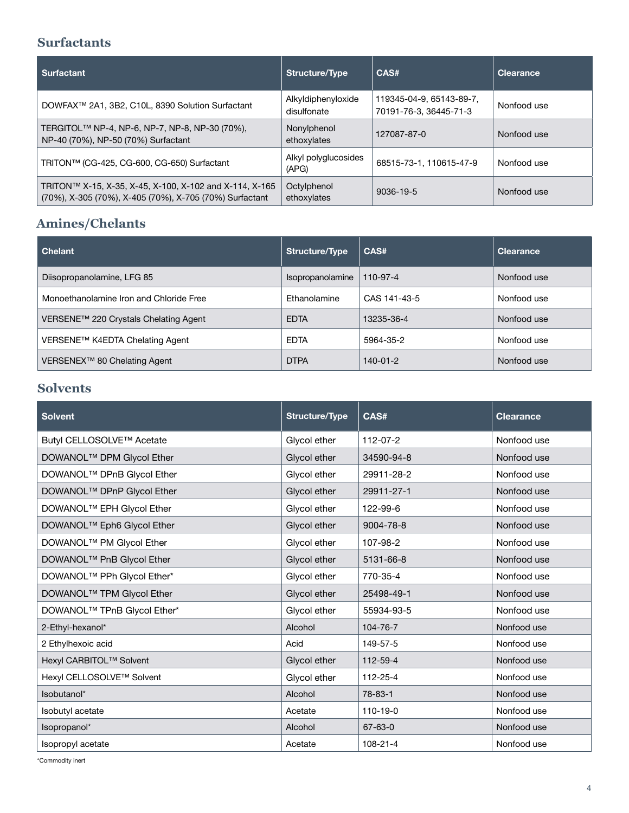### **Surfactants**

| <b>Surfactant</b>                                                                                                  | Structure/Type                    | CAS#                                               | <b>Clearance</b> |
|--------------------------------------------------------------------------------------------------------------------|-----------------------------------|----------------------------------------------------|------------------|
| DOWFAX <sup>™</sup> 2A1, 3B2, C10L, 8390 Solution Surfactant                                                       | Alkyldiphenyloxide<br>disulfonate | 119345-04-9, 65143-89-7,<br>70191-76-3, 36445-71-3 | Nonfood use      |
| TERGITOL <sup>™</sup> NP-4, NP-6, NP-7, NP-8, NP-30 (70%),<br>NP-40 (70%), NP-50 (70%) Surfactant                  | Nonylphenol<br>ethoxylates        | 127087-87-0                                        | Nonfood use      |
| TRITON™ (CG-425, CG-600, CG-650) Surfactant                                                                        | Alkyl polyglucosides<br>(APG)     | 68515-73-1, 110615-47-9                            | Nonfood use      |
| TRITON™ X-15, X-35, X-45, X-100, X-102 and X-114, X-165<br>(70%), X-305 (70%), X-405 (70%), X-705 (70%) Surfactant | Octylphenol<br>ethoxylates        | 9036-19-5                                          | Nonfood use      |

# **Amines/Chelants**

| <b>Chelant</b>                           | Structure/Type   | CAS#           | <b>Clearance</b> |
|------------------------------------------|------------------|----------------|------------------|
| Diisopropanolamine, LFG 85               | Isopropanolamine | 110-97-4       | Nonfood use      |
| Monoethanolamine Iron and Chloride Free  | Ethanolamine     | CAS 141-43-5   | Nonfood use      |
| VERSENE™ 220 Crystals Chelating Agent    | <b>EDTA</b>      | 13235-36-4     | Nonfood use      |
| VERSENE™ K4EDTA Chelating Agent          | <b>EDTA</b>      | 5964-35-2      | Nonfood use      |
| VERSENEX <sup>™</sup> 80 Chelating Agent | <b>DTPA</b>      | $140 - 01 - 2$ | Nonfood use      |

# **Solvents**

| <b>Solvent</b>                          | <b>Structure/Type</b> | CAS#           | <b>Clearance</b> |
|-----------------------------------------|-----------------------|----------------|------------------|
| Butyl CELLOSOLVE™ Acetate               | Glycol ether          | $112 - 07 - 2$ | Nonfood use      |
| DOWANOL <sup>™</sup> DPM Glycol Ether   | Glycol ether          | 34590-94-8     | Nonfood use      |
| DOWANOL <sup>™</sup> DPnB Glycol Ether  | Glycol ether          | 29911-28-2     | Nonfood use      |
| DOWANOL™ DPnP Glycol Ether              | Glycol ether          | 29911-27-1     | Nonfood use      |
| DOWANOL <sup>™</sup> EPH Glycol Ether   | Glycol ether          | 122-99-6       | Nonfood use      |
| DOWANOL <sup>™</sup> Eph6 Glycol Ether  | Glycol ether          | 9004-78-8      | Nonfood use      |
| DOWANOL <sup>™</sup> PM Glycol Ether    | Glycol ether          | 107-98-2       | Nonfood use      |
| DOWANOL <sup>™</sup> PnB Glycol Ether   | Glycol ether          | 5131-66-8      | Nonfood use      |
| DOWANOL <sup>™</sup> PPh Glycol Ether*  | Glycol ether          | 770-35-4       | Nonfood use      |
| DOWANOL <sup>™</sup> TPM Glycol Ether   | Glycol ether          | 25498-49-1     | Nonfood use      |
| DOWANOL <sup>™</sup> TPnB Glycol Ether* | Glycol ether          | 55934-93-5     | Nonfood use      |
| 2-Ethyl-hexanol*                        | Alcohol               | 104-76-7       | Nonfood use      |
| 2 Ethylhexoic acid                      | Acid                  | 149-57-5       | Nonfood use      |
| Hexyl CARBITOL™ Solvent                 | Glycol ether          | 112-59-4       | Nonfood use      |
| Hexyl CELLOSOLVE™ Solvent               | Glycol ether          | 112-25-4       | Nonfood use      |
| Isobutanol*                             | Alcohol               | $78 - 83 - 1$  | Nonfood use      |
| Isobutyl acetate                        | Acetate               | 110-19-0       | Nonfood use      |
| Isopropanol*                            | Alcohol               | 67-63-0        | Nonfood use      |
| Isopropyl acetate                       | Acetate               | 108-21-4       | Nonfood use      |

\*Commodity inert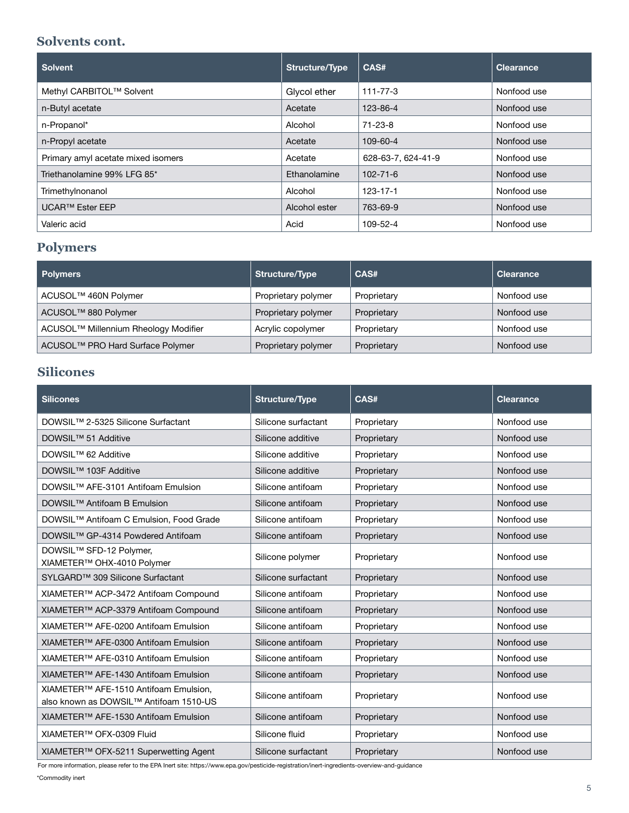#### **Solvents cont.**

| <b>Solvent</b>                     | Structure/Type | CAS#               | <b>Clearance</b> |
|------------------------------------|----------------|--------------------|------------------|
| Methyl CARBITOL™ Solvent           | Glycol ether   | $111 - 77 - 3$     | Nonfood use      |
| n-Butyl acetate                    | Acetate        | 123-86-4           | Nonfood use      |
| n-Propanol*                        | Alcohol        | $71 - 23 - 8$      | Nonfood use      |
| n-Propyl acetate                   | Acetate        | 109-60-4           | Nonfood use      |
| Primary amyl acetate mixed isomers | Acetate        | 628-63-7, 624-41-9 | Nonfood use      |
| Triethanolamine 99% LFG 85*        | Ethanolamine   | $102 - 71 - 6$     | Nonfood use      |
| Trimethylnonanol                   | Alcohol        | $123 - 17 - 1$     | Nonfood use      |
| <b>UCAR™ Ester EEP</b>             | Alcohol ester  | 763-69-9           | Nonfood use      |
| Valeric acid                       | Acid           | 109-52-4           | Nonfood use      |

# **Polymers**

| <b>Polymers</b>                              | Structure/Type      | CAS#        | <b>Clearance</b> |
|----------------------------------------------|---------------------|-------------|------------------|
| ACUSOL <sup>™</sup> 460N Polymer             | Proprietary polymer | Proprietary | Nonfood use      |
| ACUSOL <sup>™</sup> 880 Polymer              | Proprietary polymer | Proprietary | Nonfood use      |
| ACUSOL™ Millennium Rheology Modifier         | Acrylic copolymer   | Proprietary | Nonfood use      |
| ACUSOL <sup>™</sup> PRO Hard Surface Polymer | Proprietary polymer | Proprietary | Nonfood use      |

# **Silicones**

| <b>Silicones</b>                                                                | <b>Structure/Type</b> | CAS#        | <b>Clearance</b> |
|---------------------------------------------------------------------------------|-----------------------|-------------|------------------|
| DOWSIL™ 2-5325 Silicone Surfactant                                              | Silicone surfactant   | Proprietary | Nonfood use      |
| DOWSIL™ 51 Additive                                                             | Silicone additive     | Proprietary | Nonfood use      |
| DOWSIL™ 62 Additive                                                             | Silicone additive     | Proprietary | Nonfood use      |
| DOWSIL <sup>™</sup> 103F Additive                                               | Silicone additive     | Proprietary | Nonfood use      |
| DOWSIL <sup>™</sup> AFE-3101 Antifoam Emulsion                                  | Silicone antifoam     | Proprietary | Nonfood use      |
| DOWSIL <sup>™</sup> Antifoam B Emulsion                                         | Silicone antifoam     | Proprietary | Nonfood use      |
| DOWSIL <sup>™</sup> Antifoam C Emulsion. Food Grade                             | Silicone antifoam     | Proprietary | Nonfood use      |
| DOWSIL™ GP-4314 Powdered Antifoam                                               | Silicone antifoam     | Proprietary | Nonfood use      |
| DOWSIL <sup>™</sup> SFD-12 Polymer,<br>XIAMETER™ OHX-4010 Polymer               | Silicone polymer      | Proprietary | Nonfood use      |
| SYLGARD <sup>™</sup> 309 Silicone Surfactant                                    | Silicone surfactant   | Proprietary | Nonfood use      |
| XIAMETER™ ACP-3472 Antifoam Compound                                            | Silicone antifoam     | Proprietary | Nonfood use      |
| XIAMETER™ ACP-3379 Antifoam Compound                                            | Silicone antifoam     | Proprietary | Nonfood use      |
| XIAMETER™ AFE-0200 Antifoam Emulsion                                            | Silicone antifoam     | Proprietary | Nonfood use      |
| XIAMETER™ AFE-0300 Antifoam Emulsion                                            | Silicone antifoam     | Proprietary | Nonfood use      |
| XIAMETER™ AFE-0310 Antifoam Emulsion                                            | Silicone antifoam     | Proprietary | Nonfood use      |
| XIAMETER <sup>™</sup> AFE-1430 Antifoam Emulsion                                | Silicone antifoam     | Proprietary | Nonfood use      |
| XIAMETER™ AFE-1510 Antifoam Emulsion,<br>also known as DOWSIL™ Antifoam 1510-US | Silicone antifoam     | Proprietary | Nonfood use      |
| XIAMETER <sup>™</sup> AFE-1530 Antifoam Emulsion                                | Silicone antifoam     | Proprietary | Nonfood use      |
| XIAMETER™ OFX-0309 Fluid                                                        | Silicone fluid        | Proprietary | Nonfood use      |
| XIAMETER™ OFX-5211 Superwetting Agent                                           | Silicone surfactant   | Proprietary | Nonfood use      |

For more information, please refer to the EPA Inert site: https://www.epa.gov/pesticide-registration/inert-ingredients-overview-and-guidance